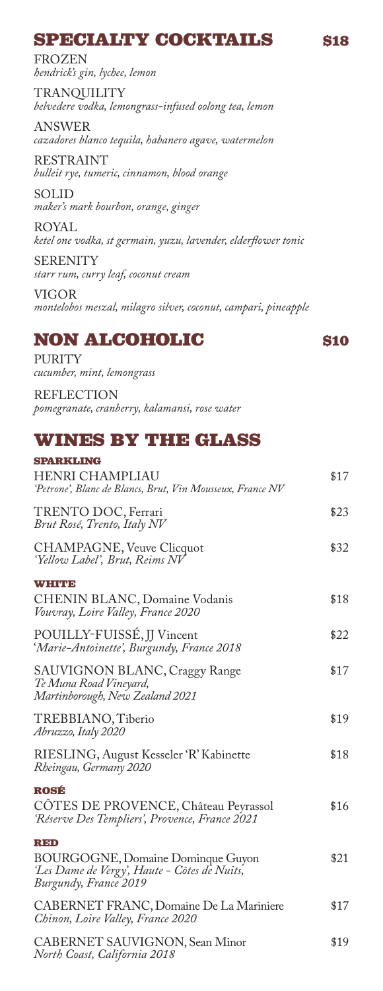# **SPECIALTY COCKTAILS** \$18

FROZEN *hendrick's gin, lychee, lemon* 

TRANQUILITY *belvedere vodka, lemongrass-infused oolong tea, lemon*

ANSWER *cazadores blanco tequila, habanero agave, watermelon*

RESTRAINT *bulleit rye, tumeric, cinnamon, blood orange*

SOLID *maker's mark bourbon, orange, ginger*

ROYAL *ketel one vodka, st germain, yuzu, lavender, elderflower tonic*

**SERENITY** *starr rum, curry leaf, coconut cream*

VIGOR *montelobos meszal, milagro silver, coconut, campari, pineapple*

# **NON ALCOHOLIC \$10**

PURITY *cucumber, mint, lemongrass*

REFLECTION *pomegranate, cranberry, kalamansi, rose water*

### **WINES BY THE GLASS**

| <b>SPARKLING</b>                                                                                                  |      |
|-------------------------------------------------------------------------------------------------------------------|------|
| <b>HENRI CHAMPLIAU</b><br>'Petrone', Blanc de Blancs, Brut, Vin Mousseux, France NV                               | \$17 |
| TRENTO DOC, Ferrari<br>Brut Rosé, Trento, Italy NV                                                                | \$23 |
| CHAMPAGNE, Veuve Clicquot<br>'Yellow Label', Brut, Reims NV                                                       | \$32 |
| WINDO                                                                                                             |      |
| CHENIN BLANC, Domaine Vodanis<br>Vouvray, Loire Valley, France 2020                                               | \$18 |
| POUILLY-FUISSÉ, JJ Vincent<br>'Marie-Antoinette', Burgundy, France 2018                                           | \$22 |
| SAUVIGNON BLANC, Craggy Range<br>Te Muna Road Vineyard,<br>Martinborough, New Zealand 2021                        | \$17 |
| TREBBIANO, Tiberio<br>Abruzzo, Italy 2020                                                                         | \$19 |
| RIESLING, August Kesseler 'R' Kabinette<br>Rheingau, Germany 2020                                                 | \$18 |
| <b>ROSÉ</b>                                                                                                       |      |
| CÔTES DE PROVENCE, Château Peyrassol<br>'Réserve Des Templiers', Provence, France 2021                            | \$16 |
| RED                                                                                                               |      |
| <b>BOURGOGNE, Domaine Dominque Guyon</b><br>'Les Dame de Vergy', Haute - Côtes de Nuits,<br>Burgundy, France 2019 | \$21 |
| CABERNET FRANC, Domaine De La Mariniere<br>Chinon, Loire Valley, France 2020                                      | \$17 |
| CABERNET SAUVIGNON, Sean Minor<br>North Coast, California 2018                                                    | \$19 |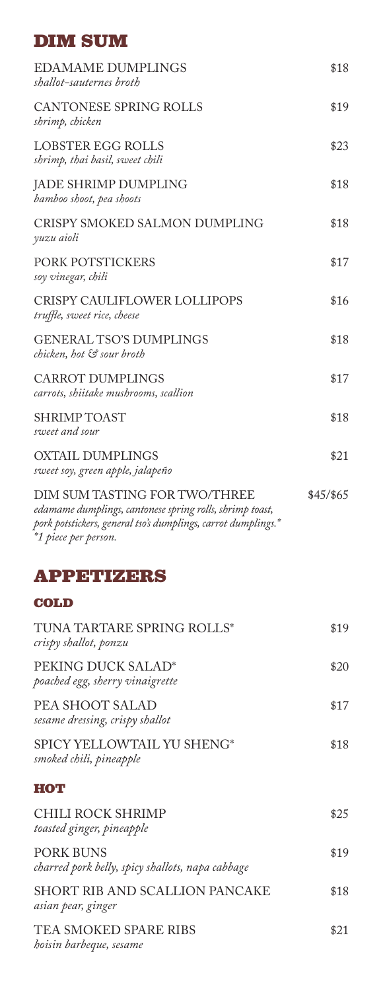# **DIM SUM**

| <b>EDAMAME DUMPLINGS</b><br>shallot-sauternes broth                                                                                                                                | \$18      |
|------------------------------------------------------------------------------------------------------------------------------------------------------------------------------------|-----------|
| <b>CANTONESE SPRING ROLLS</b><br>shrimp, chicken                                                                                                                                   | \$19      |
| LOBSTER EGG ROLLS<br>shrimp, thai basil, sweet chili                                                                                                                               | \$23      |
| JADE SHRIMP DUMPLING<br>bamboo shoot, pea shoots                                                                                                                                   | \$18      |
| CRISPY SMOKED SALMON DUMPLING<br>yuzu aioli                                                                                                                                        | \$18      |
| PORK POTSTICKERS<br>soy vinegar, chili                                                                                                                                             | \$17      |
| CRISPY CAULIFLOWER LOLLIPOPS<br>truffle, sweet rice, cheese                                                                                                                        | \$16      |
| <b>GENERAL TSO'S DUMPLINGS</b><br>chicken, hot & sour broth                                                                                                                        | \$18      |
| <b>CARROT DUMPLINGS</b><br>carrots, shiitake mushrooms, scallion                                                                                                                   | \$17      |
| <b>SHRIMP TOAST</b><br>sweet and sour                                                                                                                                              | \$18      |
| <b>OXTAIL DUMPLINGS</b><br>sweet soy, green apple, jalapeño                                                                                                                        | \$21      |
| DIM SUM TASTING FOR TWO/THREE<br>edamame dumplings, cantonese spring rolls, shrimp toast,<br>pork potstickers, general tso's dumplings, carrot dumplings.*<br>*1 piece per person. | \$45/\$65 |
| <b>APPETIZERS</b>                                                                                                                                                                  |           |
| COLD                                                                                                                                                                               |           |
| TUNA TARTARE SPRING ROLLS*<br>crispy shallot, ponzu                                                                                                                                | \$19      |
| PEKING DUCK SALAD*<br>poached egg, sherry vinaigrette                                                                                                                              | \$20      |
| PEA SHOOT SALAD<br>sesame dressing, crispy shallot                                                                                                                                 | \$17      |
| SPICY YELLOWTAIL YU SHENG*<br>smoked chili, pineapple                                                                                                                              | \$18      |
| нот                                                                                                                                                                                |           |
| CHILI ROCK SHRIMP<br>toasted ginger, pineapple                                                                                                                                     | \$25      |
| <b>PORK BUNS</b><br>charred pork belly, spicy shallots, napa cabbage                                                                                                               | \$19      |
| <b>SHORT RIB AND SCALLION PANCAKE</b><br>asian pear, ginger                                                                                                                        | \$18      |
|                                                                                                                                                                                    |           |

TEA SMOKED SPARE RIBS \$21 *hoisin barbeque, sesame*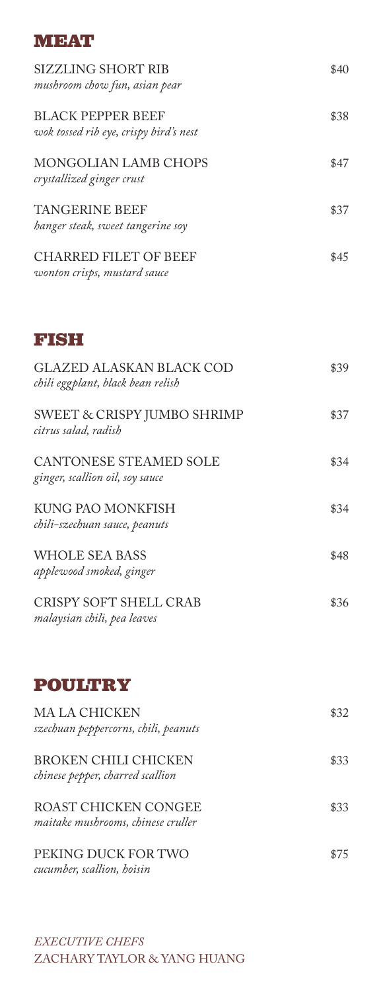#### **MEAT**

| SIZZLING SHORT RIB<br>mushroom chow fun, asian pear                | \$40 |
|--------------------------------------------------------------------|------|
| <b>BLACK PEPPER BEEF</b><br>wok tossed rib eye, crispy bird's nest | \$38 |
| MONGOLIAN LAMB CHOPS<br>crystallized ginger crust                  | \$47 |
| <b>TANGERINE BEEF</b><br>hanger steak, sweet tangerine soy         | \$37 |
| <b>CHARRED FILET OF BEEF</b><br>wonton crisps, mustard sauce       | \$45 |

# **FISH**

| GLAZED ALASKAN BLACK COD<br>chili eggplant, black bean relish | \$39 |
|---------------------------------------------------------------|------|
| SWEET & CRISPY JUMBO SHRIMP<br>citrus salad, radish           | \$37 |
| CANTONESE STEAMED SOLE<br>ginger, scallion oil, soy sauce     | \$34 |
| KUNG PAO MONKFISH<br>chili-szechuan sauce, peanuts            | \$34 |
| WHOLE SEA BASS<br>applewood smoked, ginger                    | \$48 |
| CRISPY SOFT SHELL CRAB<br>malaysian chili, pea leaves         | \$36 |

## **POULTRY**

| MA LA CHICKEN<br>szechuan peppercorns, chili, peanuts      | \$32 |
|------------------------------------------------------------|------|
| BROKEN CHILI CHICKEN<br>chinese pepper, charred scallion   | \$33 |
| ROAST CHICKEN CONGEE<br>maitake mushrooms, chinese cruller | \$33 |
| PEKING DUCK FOR TWO<br>cucumber, scallion, hoisin          | \$75 |

*EXECUTIVE CHEFS*  ZACHARY TAYLOR & YANG HUANG